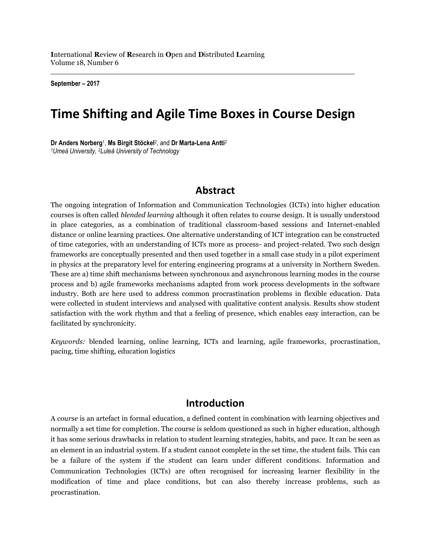**September – 2017**

# **Time Shifting and Agile Time Boxes in Course Design**

**Dr Anders Norberg**<sup>1</sup> , **Ms Birgit Stöckel**<sup>2</sup> , and **Dr Marta-Lena Antti**<sup>2</sup> *<sup>1</sup>Umeå University, 2Luleå University of Technology*

## **Abstract**

The ongoing integration of Information and Communication Technologies (ICTs) into higher education courses is often called *blended learning* although it often relates to course design. It is usually understood in place categories, as a combination of traditional classroom-based sessions and Internet-enabled distance or online learning practices. One alternative understanding of ICT integration can be constructed of time categories, with an understanding of ICTs more as process- and project-related. Two such design frameworks are conceptually presented and then used together in a small case study in a pilot experiment in physics at the preparatory level for entering engineering programs at a university in Northern Sweden. These are a) time shift mechanisms between synchronous and asynchronous learning modes in the course process and b) agile frameworks mechanisms adapted from work process developments in the software industry. Both are here used to address common procrastination problems in flexible education. Data were collected in student interviews and analysed with qualitative content analysis. Results show student satisfaction with the work rhythm and that a feeling of presence, which enables easy interaction, can be facilitated by synchronicity.

*Keywords:* blended learning, online learning, ICTs and learning, agile frameworks, procrastination, pacing, time shifting, education logistics

# **Introduction**

A *course* is an artefact in formal education, a defined content in combination with learning objectives and normally a set time for completion. The course is seldom questioned as such in higher education, although it has some serious drawbacks in relation to student learning strategies, habits, and pace. It can be seen as an element in an industrial system. If a student cannot complete in the set time, the student fails. This can be a failure of the system if the student can learn under different conditions. Information and Communication Technologies (ICTs) are often recognised for increasing learner flexibility in the modification of time and place conditions, but can also thereby increase problems, such as procrastination.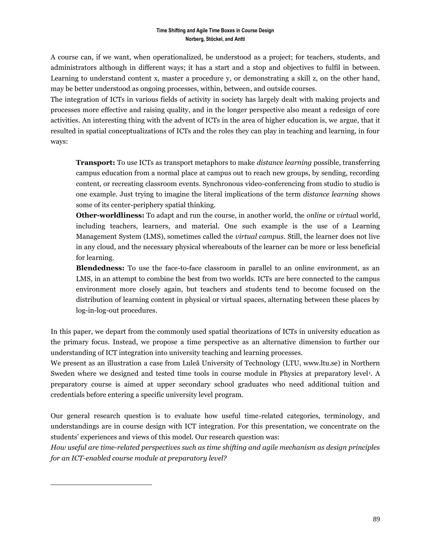A course can, if we want, when operationalized, be understood as a project; for teachers, students, and administrators although in different ways; it has a start and a stop and objectives to fulfil in between. Learning to understand content x, master a procedure y, or demonstrating a skill z, on the other hand, may be better understood as ongoing processes, within, between, and outside courses.

The integration of ICTs in various fields of activity in society has largely dealt with making projects and processes more effective and raising quality, and in the longer perspective also meant a redesign of core activities. An interesting thing with the advent of ICTs in the area of higher education is, we argue, that it resulted in spatial conceptualizations of ICTs and the roles they can play in teaching and learning, in four ways:

**Transport:** To use ICTs as transport metaphors to make *distance learning* possible, transferring campus education from a normal place at campus out to reach new groups, by sending, recording content, or recreating classroom events. Synchronous video-conferencing from studio to studio is one example. Just trying to imagine the literal implications of the term *distance learning* shows some of its center-periphery spatial thinking.

**Other-worldliness:** To adapt and run the course, in another world, the *online* or *virtua*l world, including teachers, learners, and material. One such example is the use of a Learning Management System (LMS), sometimes called the *virtual campus*. Still, the learner does not live in any cloud, and the necessary physical whereabouts of the learner can be more or less beneficial for learning.

**Blendedness:** To use the face-to-face classroom in parallel to an online environment, as an LMS, in an attempt to combine the best from two worlds. ICTs are here connected to the campus environment more closely again, but teachers and students tend to become focused on the distribution of learning content in physical or virtual spaces, alternating between these places by log-in-log-out procedures.

In this paper, we depart from the commonly used spatial theorizations of ICTs in university education as the primary focus. Instead, we propose a time perspective as an alternative dimension to further our understanding of ICT integration into university teaching and learning processes.

We present as an illustration a case from Luleå University of Technology (LTU, www.ltu.se) in Northern Sweden where we designed and tested time tools in course module in Physics at preparatory level<sup>1</sup>. A preparatory course is aimed at upper secondary school graduates who need additional tuition and credentials before entering a specific university level program.

Our general research question is to evaluate how useful time-related categories, terminology, and understandings are in course design with ICT integration. For this presentation, we concentrate on the students' experiences and views of this model. Our research question was:

*How useful are time-related perspectives such as time shifting and agile mechanism as design principles for an ICT-enabled course module at preparatory level?*

 $\overline{\phantom{a}}$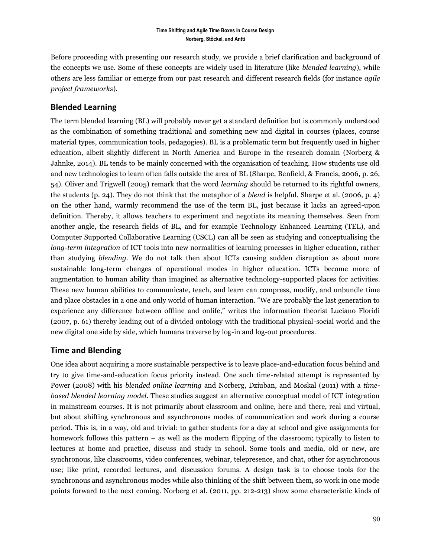Before proceeding with presenting our research study, we provide a brief clarification and background of the concepts we use. Some of these concepts are widely used in literature (like *blended learning*), while others are less familiar or emerge from our past research and different research fields (for instance *agile project frameworks*).

## **Blended Learning**

The term blended learning (BL) will probably never get a standard definition but is commonly understood as the combination of something traditional and something new and digital in courses (places, course material types, communication tools, pedagogies). BL is a problematic term but frequently used in higher education, albeit slightly different in North America and Europe in the research domain (Norberg & Jahnke, 2014). BL tends to be mainly concerned with the organisation of teaching. How students use old and new technologies to learn often falls outside the area of BL (Sharpe, Benfield, & Francis, 2006, p. 26, 54). Oliver and Trigwell (2005) remark that the word *learning* should be returned to its rightful owners, the students (p. 24). They do not think that the metaphor of a *blend* is helpful. Sharpe et al. (2006, p. 4) on the other hand, warmly recommend the use of the term BL, just because it lacks an agreed-upon definition. Thereby, it allows teachers to experiment and negotiate its meaning themselves. Seen from another angle, the research fields of BL, and for example Technology Enhanced Learning (TEL), and Computer Supported Collaborative Learning (CSCL) can all be seen as studying and conceptualising the *long-term integration* of ICT tools into new normalities of learning processes in higher education, rather than studying *blending*. We do not talk then about ICTs causing sudden disruption as about more sustainable long-term changes of operational modes in higher education. ICTs become more of augmentation to human ability than imagined as alternative technology-supported places for activities. These new human abilities to communicate, teach, and learn can compress, modify, and unbundle time and place obstacles in a one and only world of human interaction. "We are probably the last generation to experience any difference between offline and onlife," writes the information theorist Luciano Floridi (2007, p. 61) thereby leading out of a divided ontology with the traditional physical-social world and the new digital one side by side, which humans traverse by log-in and log-out procedures.

## **Time and Blending**

One idea about acquiring a more sustainable perspective is to leave place-and-education focus behind and try to give time-and-education focus priority instead. One such time-related attempt is represented by Power (2008) with his *blended online learning* and Norberg, Dziuban, and Moskal (2011) with a *timebased blended learning model*. These studies suggest an alternative conceptual model of ICT integration in mainstream courses. It is not primarily about classroom and online, here and there, real and virtual, but about shifting synchronous and asynchronous modes of communication and work during a course period. This is, in a way, old and trivial: to gather students for a day at school and give assignments for homework follows this pattern – as well as the modern flipping of the classroom; typically to listen to lectures at home and practice, discuss and study in school. Some tools and media, old or new, are synchronous, like classrooms, video conferences, webinar, telepresence, and chat, other for asynchronous use; like print, recorded lectures, and discussion forums. A design task is to choose tools for the synchronous and asynchronous modes while also thinking of the shift between them, so work in one mode points forward to the next coming. Norberg et al. (2011, pp. 212-213) show some characteristic kinds of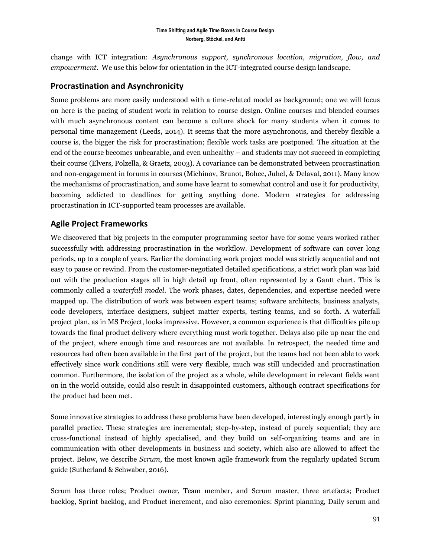change with ICT integration: *Asynchronous support, synchronous location, migration, flow, and empowerment*. We use this below for orientation in the ICT-integrated course design landscape.

### **Procrastination and Asynchronicity**

Some problems are more easily understood with a time-related model as background; one we will focus on here is the pacing of student work in relation to course design. Online courses and blended courses with much asynchronous content can become a culture shock for many students when it comes to personal time management (Leeds, 2014). It seems that the more asynchronous, and thereby flexible a course is, the bigger the risk for procrastination; flexible work tasks are postponed. The situation at the end of the course becomes unbearable, and even unhealthy – and students may not succeed in completing their course (Elvers, Polzella, & Graetz, 2003). A covariance can be demonstrated between procrastination and non-engagement in forums in courses (Michinov, Brunot, Bohec, Juhel, & Delaval, 2011). Many know the mechanisms of procrastination, and some have learnt to somewhat control and use it for productivity, becoming addicted to deadlines for getting anything done. Modern strategies for addressing procrastination in ICT-supported team processes are available.

## **Agile Project Frameworks**

We discovered that big projects in the computer programming sector have for some years worked rather successfully with addressing procrastination in the workflow. Development of software can cover long periods, up to a couple of years. Earlier the dominating work project model was strictly sequential and not easy to pause or rewind. From the customer-negotiated detailed specifications, a strict work plan was laid out with the production stages all in high detail up front, often represented by a Gantt chart. This is commonly called a *waterfall model*. The work phases, dates, dependencies, and expertise needed were mapped up. The distribution of work was between expert teams; software architects, business analysts, code developers, interface designers, subject matter experts, testing teams, and so forth. A waterfall project plan, as in MS Project, looks impressive. However, a common experience is that difficulties pile up towards the final product delivery where everything must work together. Delays also pile up near the end of the project, where enough time and resources are not available. In retrospect, the needed time and resources had often been available in the first part of the project, but the teams had not been able to work effectively since work conditions still were very flexible, much was still undecided and procrastination common. Furthermore, the isolation of the project as a whole, while development in relevant fields went on in the world outside, could also result in disappointed customers, although contract specifications for the product had been met.

Some innovative strategies to address these problems have been developed, interestingly enough partly in parallel practice. These strategies are incremental; step-by-step, instead of purely sequential; they are cross-functional instead of highly specialised, and they build on self-organizing teams and are in communication with other developments in business and society, which also are allowed to affect the project. Below, we describe *Scrum*, the most known agile framework from the regularly updated Scrum guide (Sutherland & Schwaber, 2016).

Scrum has three roles; Product owner, Team member, and Scrum master, three artefacts; Product backlog, Sprint backlog, and Product increment, and also ceremonies: Sprint planning, Daily scrum and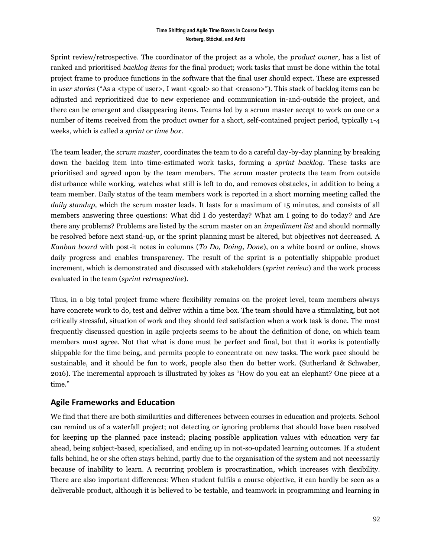Sprint review/retrospective. The coordinator of the project as a whole, the *product owner*, has a list of ranked and prioritised *backlog items* for the final product; work tasks that must be done within the total project frame to produce functions in the software that the final user should expect. These are expressed in *user stories* ("As a <type of user>, I want <goal> so that <reason>"). This stack of backlog items can be adjusted and reprioritized due to new experience and communication in-and-outside the project, and there can be emergent and disappearing items. Teams led by a scrum master accept to work on one or a number of items received from the product owner for a short, self-contained project period, typically 1-4 weeks, which is called a *sprint* or *time box*.

The team leader, the *scrum master*, coordinates the team to do a careful day-by-day planning by breaking down the backlog item into time-estimated work tasks, forming a *sprint backlog*. These tasks are prioritised and agreed upon by the team members. The scrum master protects the team from outside disturbance while working, watches what still is left to do, and removes obstacles, in addition to being a team member. Daily status of the team members work is reported in a short morning meeting called the *daily standup,* which the scrum master leads. It lasts for a maximum of 15 minutes, and consists of all members answering three questions: What did I do yesterday? What am I going to do today? and Are there any problems? Problems are listed by the scrum master on an *impediment list* and should normally be resolved before next stand-up, or the sprint planning must be altered, but objectives not decreased. A *Kanban board* with post-it notes in columns (*To Do, Doing, Done*), on a white board or online, shows daily progress and enables transparency. The result of the sprint is a potentially shippable product increment, which is demonstrated and discussed with stakeholders (*sprint review*) and the work process evaluated in the team (*sprint retrospective*).

Thus, in a big total project frame where flexibility remains on the project level, team members always have concrete work to do, test and deliver within a time box. The team should have a stimulating, but not critically stressful, situation of work and they should feel satisfaction when a work task is done. The most frequently discussed question in agile projects seems to be about the definition of done, on which team members must agree. Not that what is done must be perfect and final, but that it works is potentially shippable for the time being, and permits people to concentrate on new tasks. The work pace should be sustainable, and it should be fun to work, people also then do better work. (Sutherland & Schwaber, 2016). The incremental approach is illustrated by jokes as "How do you eat an elephant? One piece at a time."

### **Agile Frameworks and Education**

We find that there are both similarities and differences between courses in education and projects. School can remind us of a waterfall project; not detecting or ignoring problems that should have been resolved for keeping up the planned pace instead; placing possible application values with education very far ahead, being subject-based, specialised, and ending up in not-so-updated learning outcomes. If a student falls behind, he or she often stays behind, partly due to the organisation of the system and not necessarily because of inability to learn. A recurring problem is procrastination, which increases with flexibility. There are also important differences: When student fulfils a course objective, it can hardly be seen as a deliverable product, although it is believed to be testable, and teamwork in programming and learning in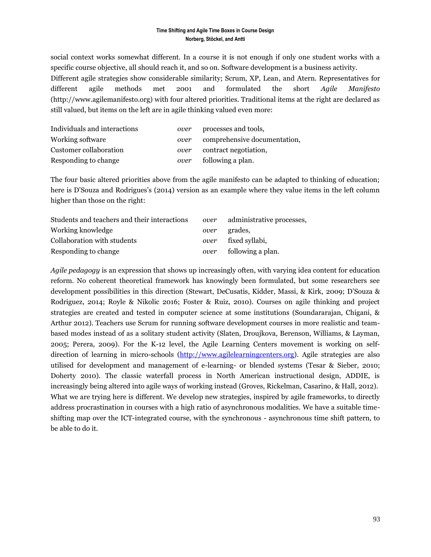social context works somewhat different. In a course it is not enough if only one student works with a specific course objective, all should reach it, and so on. Software development is a business activity. Different agile strategies show considerable similarity; Scrum, XP, Lean, and Atern. Representatives for different agile methods met 2001 and formulated the short *Agile Manifesto* (http://www.agilemanifesto.org) with four altered priorities. Traditional items at the right are declared as still valued, but items on the left are in agile thinking valued even more:

| Individuals and interactions | over | processes and tools,         |
|------------------------------|------|------------------------------|
| Working software             | over | comprehensive documentation, |
| Customer collaboration       | over | contract negotiation,        |
| Responding to change         | over | following a plan.            |

The four basic altered priorities above from the agile manifesto can be adapted to thinking of education; here is D'Souza and Rodrigues's (2014) version as an example where they value items in the left column higher than those on the right:

| Students and teachers and their interactions |                     | <i>over</i> administrative processes, |
|----------------------------------------------|---------------------|---------------------------------------|
| Working knowledge                            | <i>over</i> grades, |                                       |
| Collaboration with students                  | over                | fixed syllabi,                        |
| Responding to change                         | over                | following a plan.                     |

*Agile pedagogy* is an expression that shows up increasingly often, with varying idea content for education reform. No coherent theoretical framework has knowingly been formulated, but some researchers see development possibilities in this direction (Stewart, DeCusatis, Kidder, Massi, & Kirk, 2009; D'Souza & Rodriguez, 2014; Royle & Nikolic 2016; Foster & Ruiz, 2010). Courses on agile thinking and project strategies are created and tested in computer science at some institutions (Soundararajan, Chigani, & Arthur 2012). Teachers use Scrum for running software development courses in more realistic and teambased modes instead of as a solitary student activity (Slaten, Droujkova, Berenson, Williams, & Layman, 2005; Perera, 2009). For the K-12 level, the Agile Learning Centers movement is working on selfdirection of learning in micro-schools [\(http://www.agilelearningcenters.org\)](http://www.agilelearningcenters.org/). Agile strategies are also utilised for development and management of e-learning- or blended systems (Tesar & Sieber, 2010; Doherty 2010). The classic waterfall process in North American instructional design, ADDIE, is increasingly being altered into agile ways of working instead (Groves, Rickelman, Casarino, & Hall, 2012). What we are trying here is different. We develop new strategies, inspired by agile frameworks, to directly address procrastination in courses with a high ratio of asynchronous modalities. We have a suitable timeshifting map over the ICT-integrated course, with the synchronous - asynchronous time shift pattern, to be able to do it.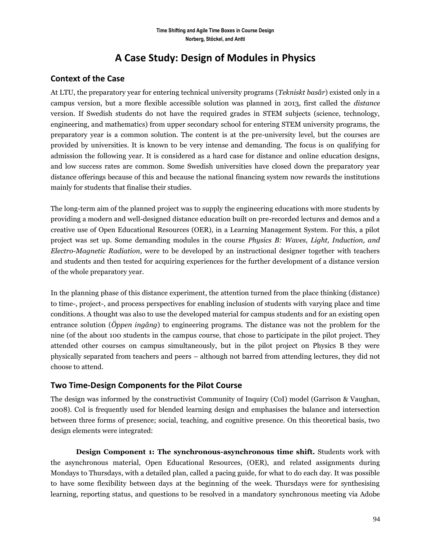# **A Case Study: Design of Modules in Physics**

## **Context of the Case**

At LTU, the preparatory year for entering technical university programs (*Tekniskt basår*) existed only in a campus version, but a more flexible accessible solution was planned in 2013, first called the *distance* version. If Swedish students do not have the required grades in STEM subjects (science, technology, engineering, and mathematics) from upper secondary school for entering STEM university programs, the preparatory year is a common solution. The content is at the pre-university level, but the courses are provided by universities. It is known to be very intense and demanding. The focus is on qualifying for admission the following year. It is considered as a hard case for distance and online education designs, and low success rates are common. Some Swedish universities have closed down the preparatory year distance offerings because of this and because the national financing system now rewards the institutions mainly for students that finalise their studies.

The long-term aim of the planned project was to supply the engineering educations with more students by providing a modern and well-designed distance education built on pre-recorded lectures and demos and a creative use of Open Educational Resources (OER), in a Learning Management System. For this, a pilot project was set up. Some demanding modules in the course *Physics B: Waves, Light, Induction, and Electro-Magnetic Radiation*, were to be developed by an instructional designer together with teachers and students and then tested for acquiring experiences for the further development of a distance version of the whole preparatory year.

In the planning phase of this distance experiment, the attention turned from the place thinking (distance) to time-, project-, and process perspectives for enabling inclusion of students with varying place and time conditions. A thought was also to use the developed material for campus students and for an existing open entrance solution (*Öppen ingång*) to engineering programs. The distance was not the problem for the nine (of the about 100 students in the campus course, that chose to participate in the pilot project. They attended other courses on campus simultaneously, but in the pilot project on Physics B they were physically separated from teachers and peers – although not barred from attending lectures, they did not choose to attend.

## **Two Time-Design Components for the Pilot Course**

The design was informed by the constructivist Community of Inquiry (CoI) model (Garrison & Vaughan, 2008). CoI is frequently used for blended learning design and emphasises the balance and intersection between three forms of presence; social, teaching, and cognitive presence. On this theoretical basis, two design elements were integrated:

**Design Component 1: The synchronous-asynchronous time shift.** Students work with the asynchronous material, Open Educational Resources, (OER), and related assignments during Mondays to Thursdays, with a detailed plan, called a pacing guide, for what to do each day. It was possible to have some flexibility between days at the beginning of the week. Thursdays were for synthesising learning, reporting status, and questions to be resolved in a mandatory synchronous meeting via Adobe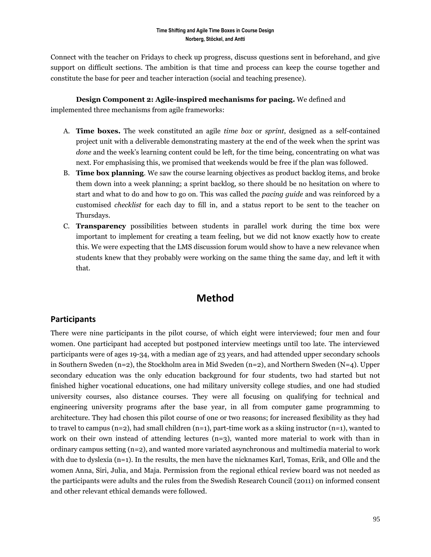Connect with the teacher on Fridays to check up progress, discuss questions sent in beforehand, and give support on difficult sections. The ambition is that time and process can keep the course together and constitute the base for peer and teacher interaction (social and teaching presence).

**Design Component 2: Agile-inspired mechanisms for pacing.** We defined and implemented three mechanisms from agile frameworks:

- A. **Time boxes.** The week constituted an agile *time box* or *sprint*, designed as a self-contained project unit with a deliverable demonstrating mastery at the end of the week when the sprint was *done* and the week's learning content could be left, for the time being, concentrating on what was next. For emphasising this, we promised that weekends would be free if the plan was followed.
- B. **Time box planning**. We saw the course learning objectives as product backlog items, and broke them down into a week planning; a sprint backlog, so there should be no hesitation on where to start and what to do and how to go on. This was called the *pacing guide* and was reinforced by a customised *checklist* for each day to fill in, and a status report to be sent to the teacher on Thursdays.
- C. **Transparency** possibilities between students in parallel work during the time box were important to implement for creating a team feeling, but we did not know exactly how to create this. We were expecting that the LMS discussion forum would show to have a new relevance when students knew that they probably were working on the same thing the same day, and left it with that.

# **Method**

## **Participants**

There were nine participants in the pilot course, of which eight were interviewed; four men and four women. One participant had accepted but postponed interview meetings until too late. The interviewed participants were of ages 19-34, with a median age of 23 years, and had attended upper secondary schools in Southern Sweden (n=2), the Stockholm area in Mid Sweden (n=2), and Northern Sweden (N=4). Upper secondary education was the only education background for four students, two had started but not finished higher vocational educations, one had military university college studies, and one had studied university courses, also distance courses. They were all focusing on qualifying for technical and engineering university programs after the base year, in all from computer game programming to architecture. They had chosen this pilot course of one or two reasons; for increased flexibility as they had to travel to campus (n=2), had small children (n=1), part-time work as a skiing instructor (n=1), wanted to work on their own instead of attending lectures (n=3), wanted more material to work with than in ordinary campus setting (n=2), and wanted more variated asynchronous and multimedia material to work with due to dyslexia (n=1). In the results, the men have the nicknames Karl, Tomas, Erik, and Olle and the women Anna, Siri, Julia, and Maja. Permission from the regional ethical review board was not needed as the participants were adults and the rules from the Swedish Research Council (2011) on informed consent and other relevant ethical demands were followed.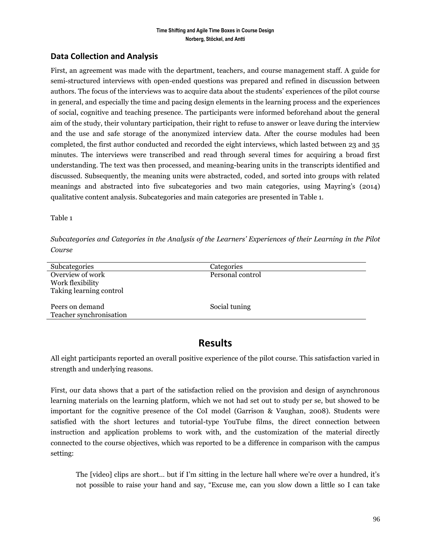## **Data Collection and Analysis**

First, an agreement was made with the department, teachers, and course management staff. A guide for semi-structured interviews with open-ended questions was prepared and refined in discussion between authors. The focus of the interviews was to acquire data about the students' experiences of the pilot course in general, and especially the time and pacing design elements in the learning process and the experiences of social, cognitive and teaching presence. The participants were informed beforehand about the general aim of the study, their voluntary participation, their right to refuse to answer or leave during the interview and the use and safe storage of the anonymized interview data. After the course modules had been completed, the first author conducted and recorded the eight interviews, which lasted between 23 and 35 minutes. The interviews were transcribed and read through several times for acquiring a broad first understanding. The text was then processed, and meaning-bearing units in the transcripts identified and discussed. Subsequently, the meaning units were abstracted, coded, and sorted into groups with related meanings and abstracted into five subcategories and two main categories, using Mayring's (2014) qualitative content analysis. Subcategories and main categories are presented in Table 1.

Table 1

*Subcategories and Categories in the Analysis of the Learners' Experiences of their Learning in the Pilot Course*

| Subcategories                                                   | Categories       |
|-----------------------------------------------------------------|------------------|
| Overview of work<br>Work flexibility<br>Taking learning control | Personal control |
| Peers on demand<br>Teacher synchronisation                      | Social tuning    |

# **Results**

All eight participants reported an overall positive experience of the pilot course. This satisfaction varied in strength and underlying reasons.

First, our data shows that a part of the satisfaction relied on the provision and design of asynchronous learning materials on the learning platform, which we not had set out to study per se, but showed to be important for the cognitive presence of the CoI model (Garrison & Vaughan, 2008). Students were satisfied with the short lectures and tutorial-type YouTube films, the direct connection between instruction and application problems to work with, and the customization of the material directly connected to the course objectives, which was reported to be a difference in comparison with the campus setting:

The [video] clips are short… but if I'm sitting in the lecture hall where we're over a hundred, it's not possible to raise your hand and say, "Excuse me, can you slow down a little so I can take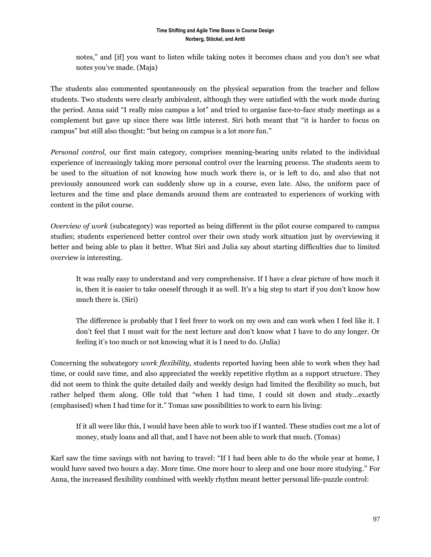notes," and [if] you want to listen while taking notes it becomes chaos and you don't see what notes you've made. (Maja)

The students also commented spontaneously on the physical separation from the teacher and fellow students. Two students were clearly ambivalent, although they were satisfied with the work mode during the period. Anna said "I really miss campus a lot" and tried to organise face-to-face study meetings as a complement but gave up since there was little interest. Siri both meant that "it is harder to focus on campus" but still also thought: "but being on campus is a lot more fun."

*Personal control,* our first main category, comprises meaning-bearing units related to the individual experience of increasingly taking more personal control over the learning process. The students seem to be used to the situation of not knowing how much work there is, or is left to do, and also that not previously announced work can suddenly show up in a course, even late. Also, the uniform pace of lectures and the time and place demands around them are contrasted to experiences of working with content in the pilot course.

*Overview of work* (subcategory) was reported as being different in the pilot course compared to campus studies; students experienced better control over their own study work situation just by overviewing it better and being able to plan it better. What Siri and Julia say about starting difficulties due to limited overview is interesting.

It was really easy to understand and very comprehensive. If I have a clear picture of how much it is, then it is easier to take oneself through it as well. It's a big step to start if you don't know how much there is. (Siri)

The difference is probably that I feel freer to work on my own and can work when I feel like it. I don't feel that I must wait for the next lecture and don't know what I have to do any longer. Or feeling it's too much or not knowing what it is I need to do. (Julia)

Concerning the subcategory *work flexibility*, students reported having been able to work when they had time, or could save time, and also appreciated the weekly repetitive rhythm as a support structure. They did not seem to think the quite detailed daily and weekly design had limited the flexibility so much, but rather helped them along. Olle told that "when I had time, I could sit down and study…exactly (emphasised) when I had time for it." Tomas saw possibilities to work to earn his living:

If it all were like this, I would have been able to work too if I wanted. These studies cost me a lot of money, study loans and all that, and I have not been able to work that much. (Tomas)

Karl saw the time savings with not having to travel: "If I had been able to do the whole year at home, I would have saved two hours a day. More time. One more hour to sleep and one hour more studying." For Anna, the increased flexibility combined with weekly rhythm meant better personal life-puzzle control: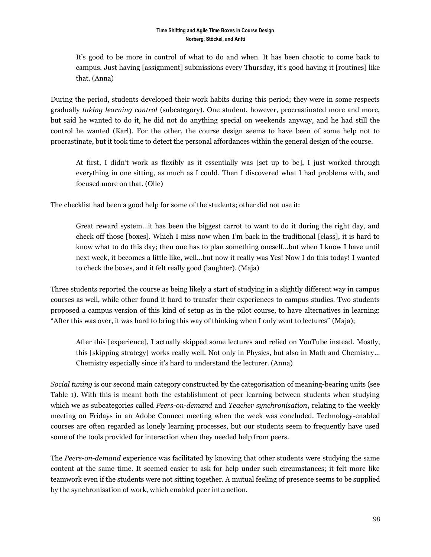It's good to be more in control of what to do and when. It has been chaotic to come back to campus. Just having [assignment] submissions every Thursday, it's good having it [routines] like that. (Anna)

During the period, students developed their work habits during this period; they were in some respects gradually *taking learning control* (subcategory). One student, however, procrastinated more and more, but said he wanted to do it, he did not do anything special on weekends anyway, and he had still the control he wanted (Karl). For the other, the course design seems to have been of some help not to procrastinate, but it took time to detect the personal affordances within the general design of the course.

At first, I didn't work as flexibly as it essentially was [set up to be], I just worked through everything in one sitting, as much as I could. Then I discovered what I had problems with, and focused more on that. (Olle)

The checklist had been a good help for some of the students; other did not use it:

Great reward system…it has been the biggest carrot to want to do it during the right day, and check off those [boxes]. Which I miss now when I'm back in the traditional [class], it is hard to know what to do this day; then one has to plan something oneself…but when I know I have until next week, it becomes a little like, well…but now it really was Yes! Now I do this today! I wanted to check the boxes, and it felt really good (laughter). (Maja)

Three students reported the course as being likely a start of studying in a slightly different way in campus courses as well, while other found it hard to transfer their experiences to campus studies. Two students proposed a campus version of this kind of setup as in the pilot course, to have alternatives in learning: "After this was over, it was hard to bring this way of thinking when I only went to lectures" (Maja);

After this [experience], I actually skipped some lectures and relied on YouTube instead. Mostly, this [skipping strategy] works really well. Not only in Physics, but also in Math and Chemistry… Chemistry especially since it's hard to understand the lecturer. (Anna)

*Social tuning* is our second main category constructed by the categorisation of meaning-bearing units (see Table 1). With this is meant both the establishment of peer learning between students when studying which we as subcategories called *Peers-on-demand* and *Teacher synchronisation***,** relating to the weekly meeting on Fridays in an Adobe Connect meeting when the week was concluded. Technology-enabled courses are often regarded as lonely learning processes, but our students seem to frequently have used some of the tools provided for interaction when they needed help from peers.

The *Peers-on-demand* experience was facilitated by knowing that other students were studying the same content at the same time. It seemed easier to ask for help under such circumstances; it felt more like teamwork even if the students were not sitting together. A mutual feeling of presence seems to be supplied by the synchronisation of work, which enabled peer interaction.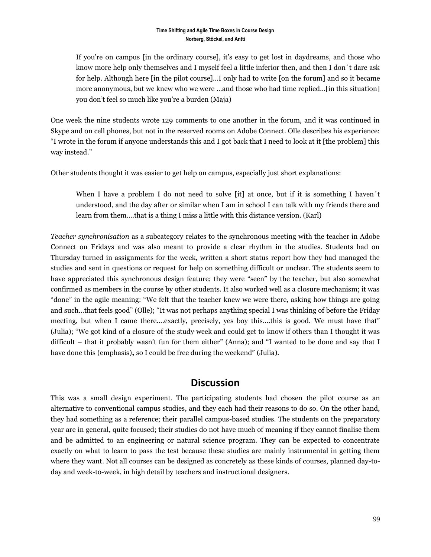If you're on campus [in the ordinary course], it's easy to get lost in daydreams, and those who know more help only themselves and I myself feel a little inferior then, and then I don´t dare ask for help. Although here [in the pilot course]…I only had to write [on the forum] and so it became more anonymous, but we knew who we were …and those who had time replied…[in this situation] you don't feel so much like you're a burden (Maja)

One week the nine students wrote 129 comments to one another in the forum, and it was continued in Skype and on cell phones, but not in the reserved rooms on Adobe Connect. Olle describes his experience: "I wrote in the forum if anyone understands this and I got back that I need to look at it [the problem] this way instead."

Other students thought it was easier to get help on campus, especially just short explanations:

When I have a problem I do not need to solve [it] at once, but if it is something I haven't understood, and the day after or similar when I am in school I can talk with my friends there and learn from them….that is a thing I miss a little with this distance version. (Karl)

*Teacher synchronisation* as a subcategory relates to the synchronous meeting with the teacher in Adobe Connect on Fridays and was also meant to provide a clear rhythm in the studies. Students had on Thursday turned in assignments for the week, written a short status report how they had managed the studies and sent in questions or request for help on something difficult or unclear. The students seem to have appreciated this synchronous design feature; they were "seen" by the teacher, but also somewhat confirmed as members in the course by other students. It also worked well as a closure mechanism; it was "done" in the agile meaning: "We felt that the teacher knew we were there, asking how things are going and such…that feels good" (Olle); "It was not perhaps anything special I was thinking of before the Friday meeting, but when I came there….exactly, precisely, yes boy this….this is good. We must have that" (Julia); "We got kind of a closure of the study week and could get to know if others than I thought it was difficult – that it probably wasn't fun for them either" (Anna); and "I wanted to be done and say that I have done this (emphasis)**,** so I could be free during the weekend" (Julia).

# **Discussion**

This was a small design experiment. The participating students had chosen the pilot course as an alternative to conventional campus studies, and they each had their reasons to do so. On the other hand, they had something as a reference; their parallel campus-based studies. The students on the preparatory year are in general, quite focused; their studies do not have much of meaning if they cannot finalise them and be admitted to an engineering or natural science program. They can be expected to concentrate exactly on what to learn to pass the test because these studies are mainly instrumental in getting them where they want. Not all courses can be designed as concretely as these kinds of courses, planned day-today and week-to-week, in high detail by teachers and instructional designers.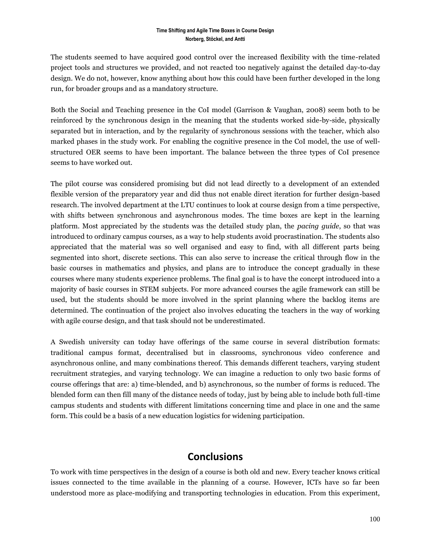The students seemed to have acquired good control over the increased flexibility with the time-related project tools and structures we provided, and not reacted too negatively against the detailed day-to-day design. We do not, however, know anything about how this could have been further developed in the long run, for broader groups and as a mandatory structure.

Both the Social and Teaching presence in the CoI model (Garrison & Vaughan, 2008) seem both to be reinforced by the synchronous design in the meaning that the students worked side-by-side, physically separated but in interaction, and by the regularity of synchronous sessions with the teacher, which also marked phases in the study work. For enabling the cognitive presence in the CoI model, the use of wellstructured OER seems to have been important. The balance between the three types of CoI presence seems to have worked out.

The pilot course was considered promising but did not lead directly to a development of an extended flexible version of the preparatory year and did thus not enable direct iteration for further design-based research. The involved department at the LTU continues to look at course design from a time perspective, with shifts between synchronous and asynchronous modes. The time boxes are kept in the learning platform. Most appreciated by the students was the detailed study plan, the *pacing guide*, so that was introduced to ordinary campus courses, as a way to help students avoid procrastination. The students also appreciated that the material was so well organised and easy to find, with all different parts being segmented into short, discrete sections. This can also serve to increase the critical through flow in the basic courses in mathematics and physics, and plans are to introduce the concept gradually in these courses where many students experience problems. The final goal is to have the concept introduced into a majority of basic courses in STEM subjects. For more advanced courses the agile framework can still be used, but the students should be more involved in the sprint planning where the backlog items are determined. The continuation of the project also involves educating the teachers in the way of working with agile course design, and that task should not be underestimated.

A Swedish university can today have offerings of the same course in several distribution formats: traditional campus format, decentralised but in classrooms, synchronous video conference and asynchronous online, and many combinations thereof. This demands different teachers, varying student recruitment strategies, and varying technology. We can imagine a reduction to only two basic forms of course offerings that are: a) time-blended, and b) asynchronous, so the number of forms is reduced. The blended form can then fill many of the distance needs of today, just by being able to include both full-time campus students and students with different limitations concerning time and place in one and the same form. This could be a basis of a new education logistics for widening participation.

# **Conclusions**

To work with time perspectives in the design of a course is both old and new. Every teacher knows critical issues connected to the time available in the planning of a course. However, ICTs have so far been understood more as place-modifying and transporting technologies in education. From this experiment,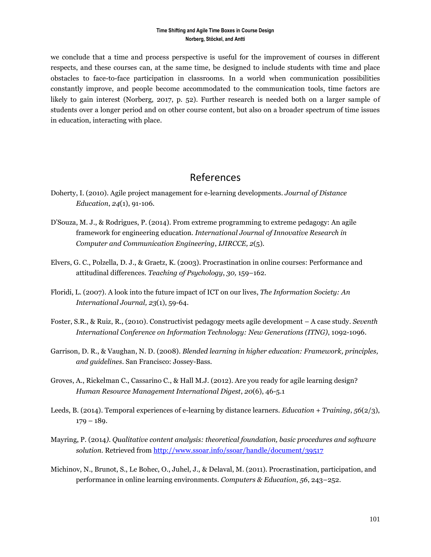we conclude that a time and process perspective is useful for the improvement of courses in different respects, and these courses can, at the same time, be designed to include students with time and place obstacles to face-to-face participation in classrooms. In a world when communication possibilities constantly improve, and people become accommodated to the communication tools, time factors are likely to gain interest (Norberg, 2017, p. 52). Further research is needed both on a larger sample of students over a longer period and on other course content, but also on a broader spectrum of time issues in education, interacting with place.

# References

- Doherty, I. (2010). Agile project management for e-learning developments. *Journal of Distance Education*, *24*(1), 91-106.
- D'Souza, M. J., & Rodrigues, P. (2014). From extreme programming to extreme pedagogy: An agile framework for engineering education. *International Journal of Innovative Research in Computer and Communication Engineering*, *IJIRCCE, 2*(5).
- Elvers, G. C., Polzella, D. J., & Graetz, K. (2003). Procrastination in online courses: Performance and attitudinal differences. *Teaching of Psychology*, *30,* 159–162.
- Floridi, L. (2007). A look into the future impact of ICT on our lives, *The Information Society: An International Journal, 23*(1), 59-64.
- Foster, S.R., & Ruiz, R., (2010). Constructivist pedagogy meets agile development A case study. *Seventh International Conference on Information Technology: New Generations (ITNG)*, 1092-1096.
- Garrison, D. R., & Vaughan, N. D. (2008). *Blended learning in higher education: Framework, principles, and guidelines*. San Francisco: Jossey-Bass.
- Groves, A., Rickelman C., Cassarino C., & Hall M.J. (2012). Are you ready for agile learning design? *Human Resource Management International Digest*, *20*(6), 46-5.1
- Leeds, B. (2014). Temporal experiences of e-learning by distance learners. *Education + Training*, *56*(2/3),  $179 - 189.$
- Mayring, P. (2014*). Qualitative content analysis: theoretical foundation, basic procedures and software solution.* Retrieved from<http://www.ssoar.info/ssoar/handle/document/39517>
- Michinov, N., Brunot, S., Le Bohec, O., Juhel, J., & Delaval, M. (2011). Procrastination, participation, and performance in online learning environments. *Computers & Education*, *56*, 243–252.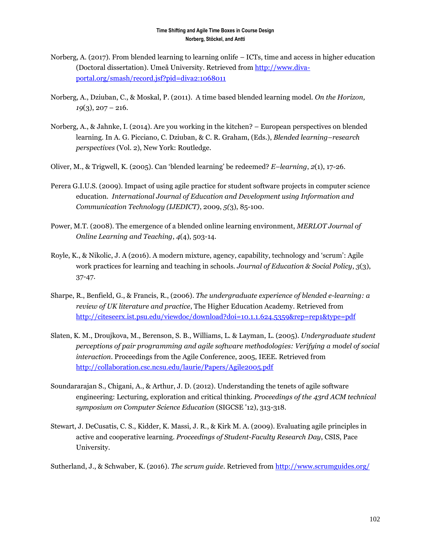- Norberg, A. (2017). From blended learning to learning onlife ICTs, time and access in higher education (Doctoral dissertation). Umeå University. Retrieved from [http://www.diva](http://www.diva-portal.org/smash/record.jsf?pid=diva2:1068011)[portal.org/smash/record.jsf?pid=diva2:1068011](http://www.diva-portal.org/smash/record.jsf?pid=diva2:1068011)
- Norberg, A., Dziuban, C., & Moskal, P. (2011). A time based blended learning model. *On the Horizon, 19*(3), 207 – 216.
- Norberg, A., & Jahnke, I. (2014). Are you working in the kitchen? European perspectives on blended learning. In A. G. Picciano, C. Dziuban, & C. R. Graham, (Eds.), *Blended learning–research perspectives* (Vol. 2), New York: Routledge.
- Oliver, M., & Trigwell, K. (2005). Can 'blended learning' be redeemed? *E–learning*, *2*(1), 17-26.
- Perera G.I.U.S. (2009). Impact of using agile practice for student software projects in computer science education. *International Journal of Education and Development using Information and Communication Technology (IJEDICT)*, 2009, *5(*3), 85-100.
- Power, M.T. (2008). The emergence of a blended online learning environment, *MERLOT Journal of Online Learning and Teaching*, *4*(4), 503-14.
- Royle, K., & Nikolic, J. A (2016). A modern mixture, agency, capability, technology and 'scrum': Agile work practices for learning and teaching in schools. *Journal of Education & Social Policy*, *3*(3), 37-47.
- Sharpe, R., Benfield, G., & Francis, R., (2006). *The undergraduate experience of blended e-learning: a review of UK literature and practice*, The Higher Education Academy. Retrieved from <http://citeseerx.ist.psu.edu/viewdoc/download?doi=10.1.1.624.5359&rep=rep1&type=pdf>
- Slaten, K. M., Droujkova, M., Berenson, S. B., Williams, L. & Layman, L. (2005). *Undergraduate student perceptions of pair programming and agile software methodologies: Verifying a model of social interaction*. Proceedings from the Agile Conference, 2005, IEEE. Retrieved from <http://collaboration.csc.ncsu.edu/laurie/Papers/Agile2005.pdf>
- Soundararajan S., Chigani, A., & Arthur, J. D. (2012). Understanding the tenets of agile software engineering: Lecturing, exploration and critical thinking. *Proceedings of the 43rd ACM technical symposium on Computer Science Education* (SIGCSE '12), 313-318.
- Stewart, J. DeCusatis, C. S., Kidder, K. Massi, J. R., & Kirk M. A. (2009). Evaluating agile principles in active and cooperative learning. *Proceedings of Student-Faculty Research Day*, CSIS, Pace University.
- Sutherland, J., & Schwaber, K. (2016). *The scrum guide*. Retrieved from<http://www.scrumguides.org/>